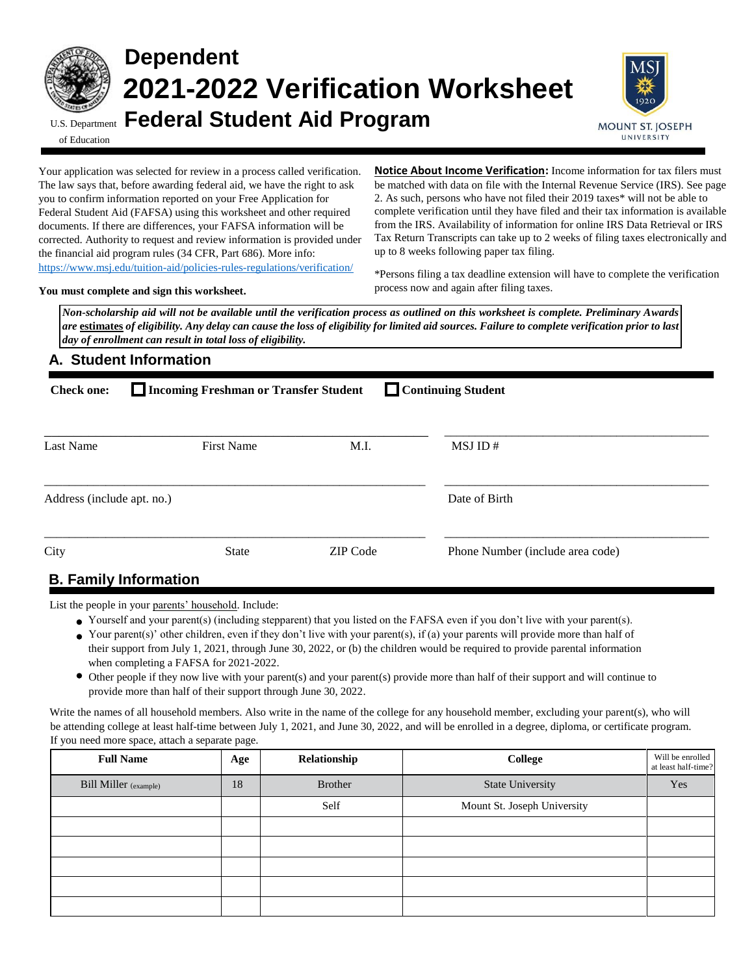

# **Dependent 2021-2022 Verification Worksheet** U.S. Department **Federal Student Aid Program**



of Education

Your application was selected for review in a process called verification. The law says that, before awarding federal aid, we have the right to ask you to confirm information reported on your Free Application for Federal Student Aid (FAFSA) using this worksheet and other required documents. If there are differences, your FAFSA information will be corrected. Authority to request and review information is provided under the financial aid program rules (34 CFR, Part 686). More info: <https://www.msj.edu/tuition-aid/policies-rules-regulations/verification/>

**Notice About Income Verification:** Income information for tax filers must be matched with data on file with the Internal Revenue Service (IRS). See page 2. As such, persons who have not filed their 2019 taxes\* will not be able to complete verification until they have filed and their tax information is available from the IRS. Availability of information for online IRS Data Retrieval or IRS Tax Return Transcripts can take up to 2 weeks of filing taxes electronically and up to 8 weeks following paper tax filing.

**You must complete and sign this worksheet.**

\*Persons filing a tax deadline extension will have to complete the verification process now and again after filing taxes.

*Non-scholarship aid will not be available until the verification process as outlined on this worksheet is complete. Preliminary Awards are* **estimates** *of eligibility. Any delay can cause the loss of eligibility for limited aid sources. Failure to complete verification prior to last day of enrollment can result in total loss of eligibility.* 

# **A. Student Information**

| <b>Check one:</b>          | Continuing Student<br>Incoming Freshman or Transfer Student |                 |                                  |  |  |
|----------------------------|-------------------------------------------------------------|-----------------|----------------------------------|--|--|
| Last Name                  | <b>First Name</b>                                           | M.I.            | MSJ ID#                          |  |  |
| Address (include apt. no.) |                                                             |                 | Date of Birth                    |  |  |
| City                       | <b>State</b>                                                | <b>ZIP</b> Code | Phone Number (include area code) |  |  |
|                            | <b>D.</b> Especial Lefsmoother                              |                 |                                  |  |  |

# **B. Family Information**

List the people in your parents' household. Include:

- Yourself and your parent(s) (including stepparent) that you listed on the FAFSA even if you don't live with your parent(s).
- Your parent(s)' other children, even if they don't live with your parent(s), if (a) your parents will provide more than half of their support from July 1, 2021, through June 30, 2022, or (b) the children would be required to provide parental information when completing a FAFSA for 2021-2022.
- Other people if they now live with your parent(s) and your parent(s) provide more than half of their support and will continue to provide more than half of their support through June 30, 2022.

Write the names of all household members. Also write in the name of the college for any household member, excluding your parent(s), who will be attending college at least half-time between July 1, 2021, and June 30, 2022, and will be enrolled in a degree, diploma, or certificate program. If you need more space, attach a separate page.

| <b>Full Name</b>             | Age | Relationship   | College                     | Will be enrolled<br>at least half-time? |
|------------------------------|-----|----------------|-----------------------------|-----------------------------------------|
| <b>Bill Miller</b> (example) | 18  | <b>Brother</b> | <b>State University</b>     | Yes                                     |
|                              |     | Self           | Mount St. Joseph University |                                         |
|                              |     |                |                             |                                         |
|                              |     |                |                             |                                         |
|                              |     |                |                             |                                         |
|                              |     |                |                             |                                         |
|                              |     |                |                             |                                         |